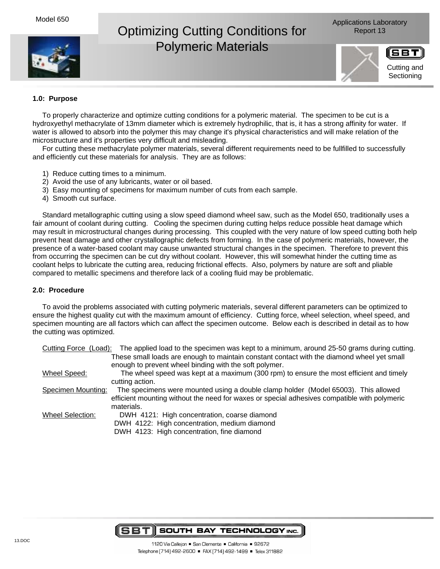

# Optimizing Cutting Conditions for Report 13 Polymeric Materials





# **1.0: Purpose**

To properly characterize and optimize cutting conditions for a polymeric material. The specimen to be cut is a hydroxyethyl methacrylate of 13mm diameter which is extremely hydrophilic, that is, it has a strong affinity for water. If water is allowed to absorb into the polymer this may change it's physical characteristics and will make relation of the microstructure and it's properties very difficult and misleading.

For cutting these methacrylate polymer materials, several different requirements need to be fullfilled to successfully and efficiently cut these materials for analysis. They are as follows:

- 1) Reduce cutting times to a minimum.
- 2) Avoid the use of any lubricants, water or oil based.
- 3) Easy mounting of specimens for maximum number of cuts from each sample.
- 4) Smooth cut surface.

Standard metallographic cutting using a slow speed diamond wheel saw, such as the Model 650, traditionally uses a fair amount of coolant during cutting. Cooling the specimen during cutting helps reduce possible heat damage which may result in microstructural changes during processing. This coupled with the very nature of low speed cutting both help prevent heat damage and other crystallographic defects from forming. In the case of polymeric materials, however, the presence of a water-based coolant may cause unwanted structural changes in the specimen. Therefore to prevent this from occurring the specimen can be cut dry without coolant. However, this will somewhat hinder the cutting time as coolant helps to lubricate the cutting area, reducing frictional effects. Also, polymers by nature are soft and pliable compared to metallic specimens and therefore lack of a cooling fluid may be problematic.

#### **2.0: Procedure**

To avoid the problems associated with cutting polymeric materials, several different parameters can be optimized to ensure the highest quality cut with the maximum amount of efficiency. Cutting force, wheel selection, wheel speed, and specimen mounting are all factors which can affect the specimen outcome. Below each is described in detail as to how the cutting was optimized.

| Cutting Force (Load): | The applied load to the specimen was kept to a minimum, around 25-50 grams during cutting.   |
|-----------------------|----------------------------------------------------------------------------------------------|
|                       | These small loads are enough to maintain constant contact with the diamond wheel yet small   |
|                       | enough to prevent wheel binding with the soft polymer.                                       |
| Wheel Speed:          | The wheel speed was kept at a maximum (300 rpm) to ensure the most efficient and timely      |
|                       | cutting action.                                                                              |
| Specimen Mounting:    | The specimens were mounted using a double clamp holder (Model 65003). This allowed           |
|                       | efficient mounting without the need for waxes or special adhesives compatible with polymeric |
|                       | materials.                                                                                   |
| Wheel Selection:      | DWH 4121: High concentration, coarse diamond                                                 |
|                       | DWH 4122: High concentration, medium diamond                                                 |
|                       | DWH 4123: High concentration, fine diamond                                                   |
|                       |                                                                                              |